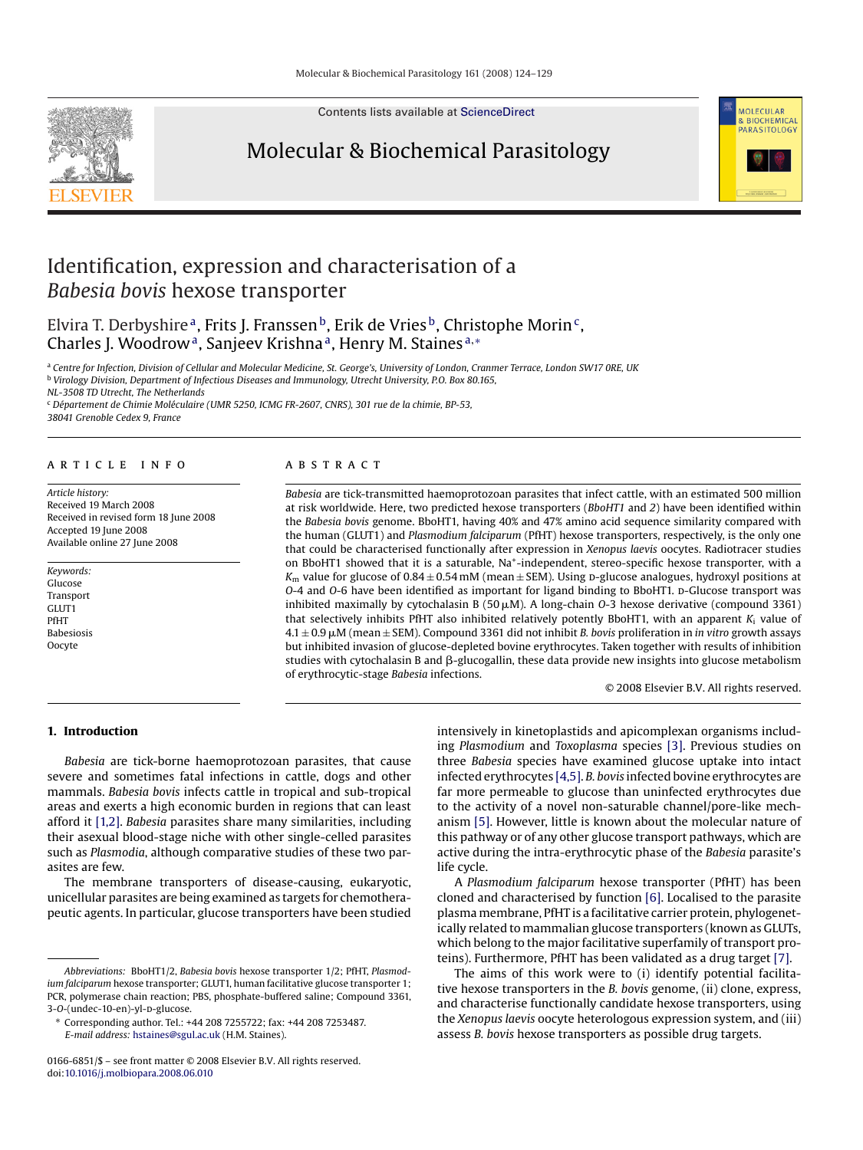Contents lists available at [ScienceDirect](http://www.sciencedirect.com/science/journal/01666851)





# Identification, expression and characterisation of a *Babesia bovis* hexose transporter

Elvira T. Derbyshire<sup>a</sup>, Frits J. Franssen<sup>b</sup>, Erik de Vries<sup>b</sup>, Christophe Morin<sup>c</sup>, Charles J. Woodrow<sup>a</sup>, Sanjeev Krishna<sup>a</sup>, Henry M. Staines<sup>a,∗</sup>

<sup>a</sup> *Centre for Infection, Division of Cellular and Molecular Medicine, St. George's, University of London, Cranmer Terrace, London SW17 0RE, UK* <sup>b</sup> *Virology Division, Department of Infectious Diseases and Immunology, Utrecht University, P.O. Box 80.165,*

*NL-3508 TD Utrecht, The Netherlands*

<sup>c</sup> *Département de Chimie Moléculaire (UMR 5250, ICMG FR-2607, CNRS), 301 rue de la chimie, BP-53, 38041 Grenoble Cedex 9, France*

# article info

*Article history:* Received 19 March 2008 Received in revised form 18 June 2008 Accepted 19 June 2008 Available online 27 June 2008

*Keywords:* Glucose Transport GLUT1 PfHT Babesiosis Oocyte

### **ABSTRACT**

*Babesia* are tick-transmitted haemoprotozoan parasites that infect cattle, with an estimated 500 million at risk worldwide. Here, two predicted hexose transporters (*BboHT1* and *2*) have been identified within the *Babesia bovis* genome. BboHT1, having 40% and 47% amino acid sequence similarity compared with the human (GLUT1) and *Plasmodium falciparum* (PfHT) hexose transporters, respectively, is the only one that could be characterised functionally after expression in *Xenopus laevis* oocytes. Radiotracer studies on BboHT1 showed that it is a saturable, Na<sup>+</sup>-independent, stereo-specific hexose transporter, with a  $K_m$  value for glucose of  $0.84 \pm 0.54$  mM (mean  $\pm$  SEM). Using p-glucose analogues, hydroxyl positions at *O*-4 and *O*-6 have been identified as important for ligand binding to BboHT1. D-Glucose transport was inhibited maximally by cytochalasin B (50  $\mu$ M). A long-chain *O*-3 hexose derivative (compound 3361) that selectively inhibits PfHT also inhibited relatively potently BboHT1, with an apparent *K*<sup>i</sup> value of  $4.1 \pm 0.9 \,\mu$ M (mean  $\pm$  SEM). Compound 3361 did not inhibit *B. bovis* proliferation in *in vitro growth assays* but inhibited invasion of glucose-depleted bovine erythrocytes. Taken together with results of inhibition studies with cytochalasin B and  $\beta$ -glucogallin, these data provide new insights into glucose metabolism of erythrocytic-stage *Babesia* infections.

© 2008 Elsevier B.V. All rights reserved.

# **1. Introduction**

*Babesia* are tick-borne haemoprotozoan parasites, that cause severe and sometimes fatal infections in cattle, dogs and other mammals. *Babesia bovis* infects cattle in tropical and sub-tropical areas and exerts a high economic burden in regions that can least afford it [\[1,2\].](#page-5-0) *Babesia* parasites share many similarities, including their asexual blood-stage niche with other single-celled parasites such as *Plasmodia*, although comparative studies of these two parasites are few.

The membrane transporters of disease-causing, eukaryotic, unicellular parasites are being examined as targets for chemotherapeutic agents. In particular, glucose transporters have been studied

intensively in kinetoplastids and apicomplexan organisms including *Plasmodium* and *Toxoplasma* species [\[3\].](#page-5-0) Previous studies on three *Babesia* species have examined glucose uptake into intact infected erythrocytes [\[4,5\].](#page-5-0) *B. bovis* infected bovine erythrocytes are far more permeable to glucose than uninfected erythrocytes due to the activity of a novel non-saturable channel/pore-like mechanism [\[5\]. H](#page-5-0)owever, little is known about the molecular nature of this pathway or of any other glucose transport pathways, which are active during the intra-erythrocytic phase of the *Babesia* parasite's life cycle.

A *Plasmodium falciparum* hexose transporter (PfHT) has been cloned and characterised by function [\[6\]. L](#page-5-0)ocalised to the parasite plasma membrane, PfHT is a facilitative carrier protein, phylogenetically related to mammalian glucose transporters (known as GLUTs, which belong to the major facilitative superfamily of transport proteins). Furthermore, PfHT has been validated as a drug target [\[7\].](#page-5-0)

The aims of this work were to (i) identify potential facilitative hexose transporters in the *B. bovis* genome, (ii) clone, express, and characterise functionally candidate hexose transporters, using the *Xenopus laevis* oocyte heterologous expression system, and (iii) assess *B. bovis* hexose transporters as possible drug targets.

*Abbreviations:* BboHT1/2, *Babesia bovis* hexose transporter 1/2; PfHT, *Plasmodium falciparum* hexose transporter; GLUT1, human facilitative glucose transporter 1; PCR, polymerase chain reaction; PBS, phosphate-buffered saline; Compound 3361, 3-O-(undec-10-en)-vl-p-glucose.

<sup>∗</sup> Corresponding author. Tel.: +44 208 7255722; fax: +44 208 7253487. *E-mail address:* [hstaines@sgul.ac.uk](mailto:hstaines@sgul.ac.uk) (H.M. Staines).

<sup>0166-6851/\$ –</sup> see front matter © 2008 Elsevier B.V. All rights reserved. doi:[10.1016/j.molbiopara.2008.06.010](dx.doi.org/10.1016/j.molbiopara.2008.06.010)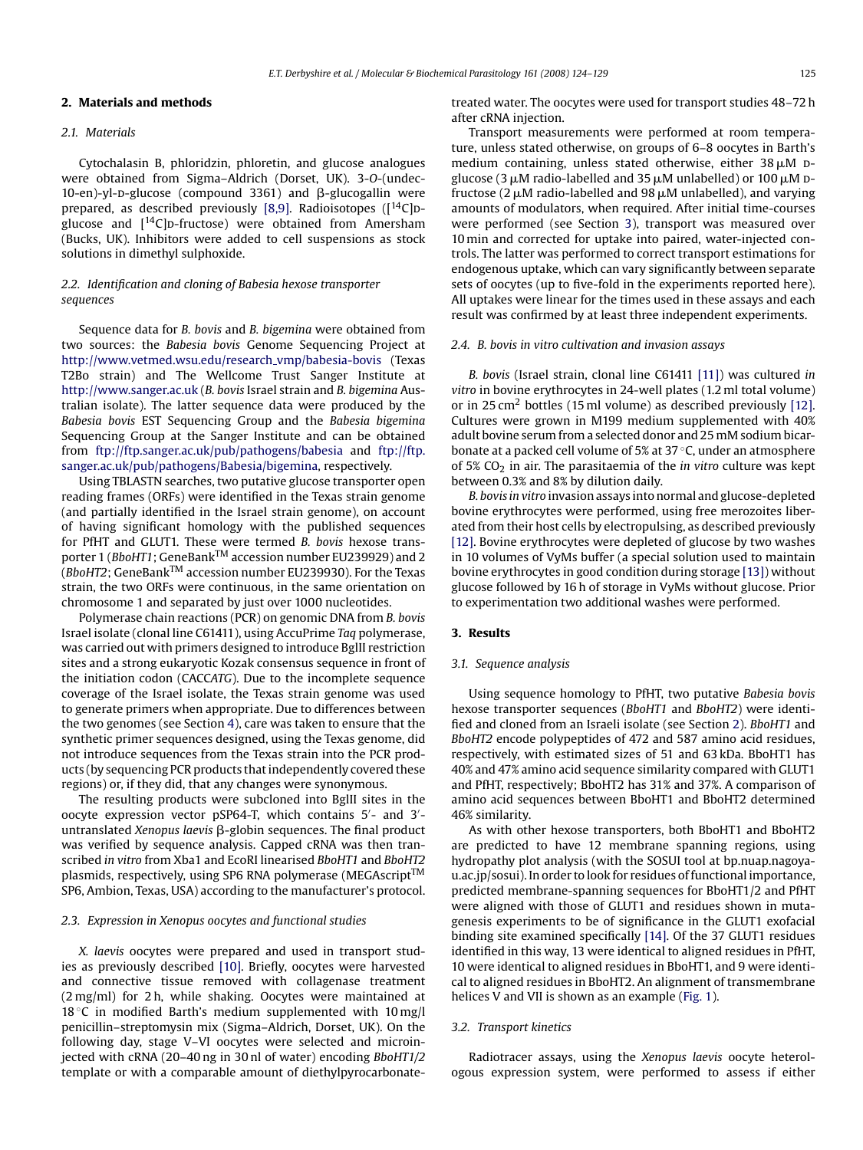#### <span id="page-1-0"></span>**2. Materials and methods**

#### *2.1. Materials*

Cytochalasin B, phloridzin, phloretin, and glucose analogues were obtained from Sigma–Aldrich (Dorset, UK). 3-*O*-(undec-10-en)-yl-p-glucose (compound 3361) and  $\beta$ -glucogallin were prepared, as described previously [\[8,9\].](#page-5-0) Radioisotopes  $(1^4C)$ pglucose and  $[14C]$ p-fructose) were obtained from Amersham (Bucks, UK). Inhibitors were added to cell suspensions as stock solutions in dimethyl sulphoxide.

# *2.2. Identification and cloning of Babesia hexose transporter sequences*

Sequence data for *B. bovis* and *B. bigemina* were obtained from two sources: the *Babesia bovis* Genome Sequencing Project at [http://www.vetmed.wsu.edu/research](http://www.vetmed.wsu.edu/research_vmp/babesia-bovis) vmp/babesia-bovis (Texas T2Bo strain) and The Wellcome Trust Sanger Institute at [http://www.sanger.ac.uk](http://www.sanger.ac.uk/) (*B. bovis* Israel strain and *B. bigemina* Australian isolate). The latter sequence data were produced by the *Babesia bovis* EST Sequencing Group and the *Babesia bigemina* Sequencing Group at the Sanger Institute and can be obtained from <ftp://ftp.sanger.ac.uk/pub/pathogens/babesia> and [ftp://ftp.](ftp://ftp.sanger.ac.uk/pub/pathogens/Babesia/bigemina) [sanger.ac.uk/pub/pathogens/Babesia/bigemina](ftp://ftp.sanger.ac.uk/pub/pathogens/Babesia/bigemina), respectively.

Using TBLASTN searches, two putative glucose transporter open reading frames (ORFs) were identified in the Texas strain genome (and partially identified in the Israel strain genome), on account of having significant homology with the published sequences for PfHT and GLUT1. These were termed *B. bovis* hexose transporter 1 (*BboHT1*; GeneBankTM accession number EU239929) and 2 (*BboHT2*; GeneBankTM accession number EU239930). For the Texas strain, the two ORFs were continuous, in the same orientation on chromosome 1 and separated by just over 1000 nucleotides.

Polymerase chain reactions (PCR) on genomic DNA from *B. bovis* Israel isolate (clonal line C61411), using AccuPrime *Taq* polymerase, was carried out with primers designed to introduce BglII restriction sites and a strong eukaryotic Kozak consensus sequence in front of the initiation codon (CACC*ATG*). Due to the incomplete sequence coverage of the Israel isolate, the Texas strain genome was used to generate primers when appropriate. Due to differences between the two genomes (see Section [4\),](#page-4-0) care was taken to ensure that the synthetic primer sequences designed, using the Texas genome, did not introduce sequences from the Texas strain into the PCR products (by sequencing PCR products that independently covered these regions) or, if they did, that any changes were synonymous.

The resulting products were subcloned into BglII sites in the oocyte expression vector pSP64-T, which contains 5 - and 3 untranslated *Xenopus laevis* β-globin sequences. The final product was verified by sequence analysis. Capped cRNA was then transcribed *in vitro* from Xba1 and EcoRI linearised *BboHT1* and *BboHT2* plasmids, respectively, using SP6 RNA polymerase (MEGAscript™ SP6, Ambion, Texas, USA) according to the manufacturer's protocol.

# *2.3. Expression in Xenopus oocytes and functional studies*

*X. laevis* oocytes were prepared and used in transport studies as previously described [\[10\].](#page-5-0) Briefly, oocytes were harvested and connective tissue removed with collagenase treatment (2 mg/ml) for 2 h, while shaking. Oocytes were maintained at  $18 °C$  in modified Barth's medium supplemented with  $10 \text{ mg/l}$ penicillin–streptomysin mix (Sigma–Aldrich, Dorset, UK). On the following day, stage V–VI oocytes were selected and microinjected with cRNA (20–40 ng in 30 nl of water) encoding *BboHT1/2* template or with a comparable amount of diethylpyrocarbonatetreated water. The oocytes were used for transport studies 48–72 h after cRNA injection.

Transport measurements were performed at room temperature, unless stated otherwise, on groups of 6–8 oocytes in Barth's medium containing, unless stated otherwise, either  $38 \mu M$  Dglucose (3  $\mu$ M radio-labelled and 35  $\mu$ M unlabelled) or 100  $\mu$ M Dfructose (2  $\mu$ M radio-labelled and 98  $\mu$ M unlabelled), and varying amounts of modulators, when required. After initial time-courses were performed (see Section 3), transport was measured over 10 min and corrected for uptake into paired, water-injected controls. The latter was performed to correct transport estimations for endogenous uptake, which can vary significantly between separate sets of oocytes (up to five-fold in the experiments reported here). All uptakes were linear for the times used in these assays and each result was confirmed by at least three independent experiments.

#### *2.4. B. bovis in vitro cultivation and invasion assays*

*B. bovis* (Israel strain, clonal line C61411 [\[11\]\)](#page-5-0) was cultured *in vitro* in bovine erythrocytes in 24-well plates (1.2 ml total volume) or in  $25 \text{ cm}^2$  bottles (15 ml volume) as described previously [\[12\].](#page-5-0) Cultures were grown in M199 medium supplemented with 40% adult bovine serum from a selected donor and 25 mM sodium bicarbonate at a packed cell volume of 5% at 37 ◦C, under an atmosphere of 5% CO2 in air. The parasitaemia of the *in vitro* culture was kept between 0.3% and 8% by dilution daily.

*B. bovis in vitro* invasion assays into normal and glucose-depleted bovine erythrocytes were performed, using free merozoites liberated from their host cells by electropulsing, as described previously [\[12\]. B](#page-5-0)ovine erythrocytes were depleted of glucose by two washes in 10 volumes of VyMs buffer (a special solution used to maintain bovine erythrocytes in good condition during storage [\[13\]\) w](#page-5-0)ithout glucose followed by 16 h of storage in VyMs without glucose. Prior to experimentation two additional washes were performed.

### **3. Results**

### *3.1. Sequence analysis*

Using sequence homology to PfHT, two putative *Babesia bovis* hexose transporter sequences (*BboHT1* and *BboHT2*) were identified and cloned from an Israeli isolate (see Section 2). *BboHT1* and *BboHT2* encode polypeptides of 472 and 587 amino acid residues, respectively, with estimated sizes of 51 and 63 kDa. BboHT1 has 40% and 47% amino acid sequence similarity compared with GLUT1 and PfHT, respectively; BboHT2 has 31% and 37%. A comparison of amino acid sequences between BboHT1 and BboHT2 determined 46% similarity.

As with other hexose transporters, both BboHT1 and BboHT2 are predicted to have 12 membrane spanning regions, using hydropathy plot analysis (with the SOSUI tool at bp.nuap.nagoyau.ac.jp/sosui). In order to look for residues of functional importance, predicted membrane-spanning sequences for BboHT1/2 and PfHT were aligned with those of GLUT1 and residues shown in mutagenesis experiments to be of significance in the GLUT1 exofacial binding site examined specifically [\[14\]. O](#page-5-0)f the 37 GLUT1 residues identified in this way, 13 were identical to aligned residues in PfHT, 10 were identical to aligned residues in BboHT1, and 9 were identical to aligned residues in BboHT2. An alignment of transmembrane helices V and VII is shown as an example [\(Fig. 1\).](#page-2-0)

# *3.2. Transport kinetics*

Radiotracer assays, using the *Xenopus laevis* oocyte heterologous expression system, were performed to assess if either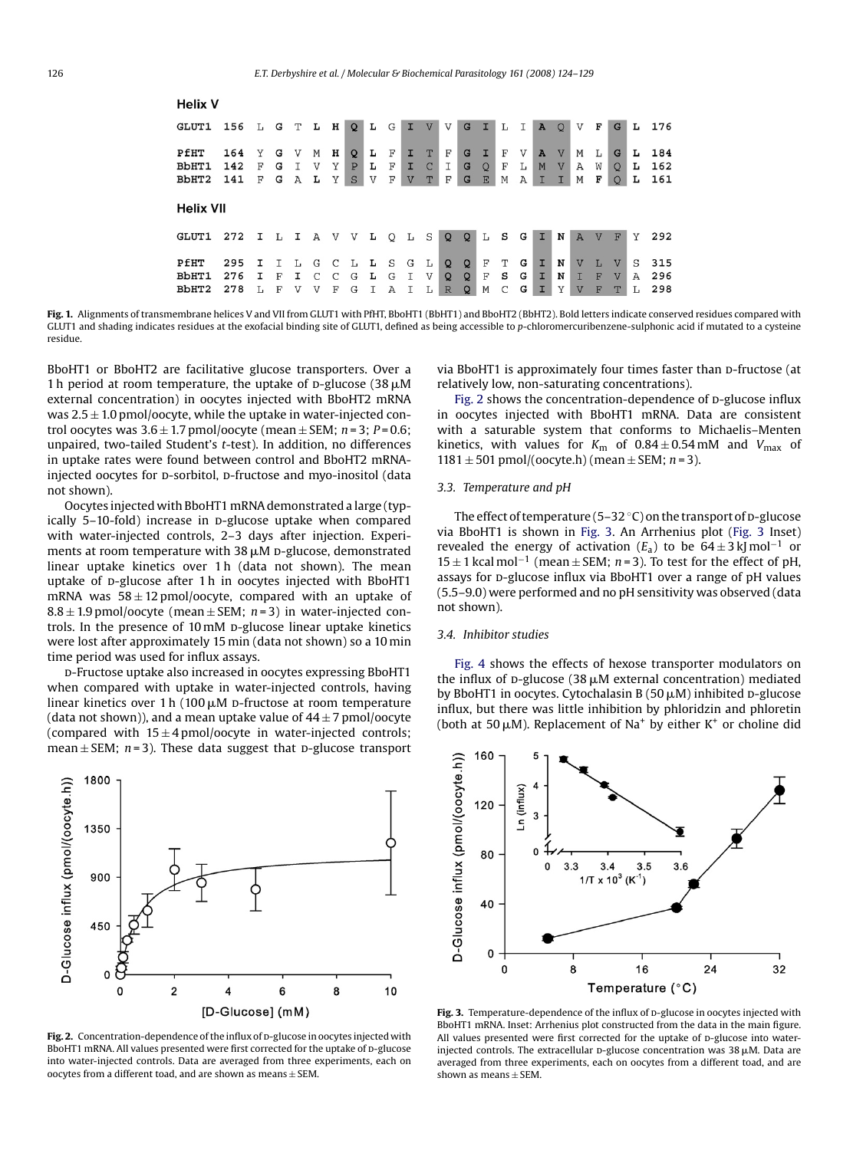# <span id="page-2-0"></span>**Helix V**

| GLUT1                  | 156               | L           | G           | т            | L                   | н           | $\circ$                          | Ŀ           | G           | п                       | $\overline{V}$          | V                                 | G                      | I.           | L           | Ι                      | A      | $\circ$                        | V                                | F              | G                                 | L            | 176               |
|------------------------|-------------------|-------------|-------------|--------------|---------------------|-------------|----------------------------------|-------------|-------------|-------------------------|-------------------------|-----------------------------------|------------------------|--------------|-------------|------------------------|--------|--------------------------------|----------------------------------|----------------|-----------------------------------|--------------|-------------------|
| PfHT<br>BbHT1<br>BbHT2 | 164<br>142<br>141 | Y<br>F<br>F | G<br>G<br>G | V<br>Α       | M<br>V<br>Ŀ         | н<br>Υ<br>Υ | Q<br>$\mathbf{P}$<br>$\mathbf S$ | L<br>Ŀ<br>V | F<br>F<br>F | I<br>T.<br>$\mathbf{V}$ | T<br>$\mathcal{C}$<br>T | F<br>Ι<br>F                       | G<br>G<br>G            | $\circ$<br>E | F<br>F<br>Μ | V<br>L<br>$\mathbb{A}$ | A<br>M | $\mathbf{V}$<br>$\overline{V}$ | М<br>Α<br>М                      | L<br>W<br>F    | G<br>$\circ$<br>$\circ$           | L<br>Ŀ<br>L  | 184<br>162<br>161 |
| <b>Helix VII</b>       |                   |             |             |              |                     |             |                                  |             |             |                         |                         |                                   |                        |              |             |                        |        |                                |                                  |                |                                   |              |                   |
| GLUT1                  | 272               | Ι.          | L           | $\mathbf{I}$ | $\mathbf{A}$        | V           | V                                | г           | Q           | L                       | S                       | $\Omega$                          | $\Omega$               | L            | S           | G                      | ÷D.    | N                              | $\overline{A}$                   | $\overline{V}$ | F                                 | Y            | 292               |
| PfHT<br>BbHT1<br>BbHT2 | 295<br>276<br>278 | т<br>т      | Т<br>F<br>F | L.<br>т<br>V | G<br>$\subset$<br>V | C<br>C<br>F | Т.<br>G<br>G                     | L<br>L      | S<br>G<br>Α | G                       | L<br>$\mathbf{V}$<br>L  | $\mathbf{Q}$<br>Q<br>$\mathbb{R}$ | Q<br>$\mathbf{Q}$<br>Q | F<br>F<br>М  | Т<br>s<br>C | G<br>G<br>G            | T<br>I | N<br>N<br>v                    | $\overline{V}$<br>$\overline{U}$ | T.<br>F<br>F   | $\mathbf{V}$<br>$\mathbf{V}$<br>т | S<br>A<br>т. | 315<br>296<br>298 |

**Fig. 1.** Alignments of transmembrane helices V and VII from GLUT1 with PfHT, BboHT1 (BbHT1) and BboHT2 (BbHT2). Bold letters indicate conserved residues compared with GLUT1 and shading indicates residues at the exofacial binding site of GLUT1, defined as being accessible to *p*-chloromercuribenzene-sulphonic acid if mutated to a cysteine residue.

BboHT1 or BboHT2 are facilitative glucose transporters. Over a 1 h period at room temperature, the uptake of  $p$ -glucose (38  $\mu$ M external concentration) in oocytes injected with BboHT2 mRNA was  $2.5 \pm 1.0$  pmol/oocyte, while the uptake in water-injected control oocytes was  $3.6 \pm 1.7$  pmol/oocyte (mean  $\pm$  SEM; *n* = 3; *P* = 0.6; unpaired, two-tailed Student's *t*-test). In addition, no differences in uptake rates were found between control and BboHT2 mRNAinjected oocytes for p-sorbitol, p-fructose and myo-inositol (data not shown).

Oocytes injected with BboHT1 mRNA demonstrated a large (typically 5-10-fold) increase in p-glucose uptake when compared with water-injected controls, 2–3 days after injection. Experi $m$ ents at room temperature with 38  $\mu$ M p-glucose, demonstrated linear uptake kinetics over 1 h (data not shown). The mean uptake of p-glucose after 1 h in oocytes injected with BboHT1 mRNA was  $58 \pm 12$  pmol/oocyte, compared with an uptake of  $8.8 \pm 1.9$  pmol/oocyte (mean  $\pm$  SEM; *n* = 3) in water-injected controls. In the presence of 10 mM p-glucose linear uptake kinetics were lost after approximately 15 min (data not shown) so a 10 min time period was used for influx assays.

d-Fructose uptake also increased in oocytes expressing BboHT1 when compared with uptake in water-injected controls, having linear kinetics over  $1 h (100 \mu M)$  D-fructose at room temperature (data not shown)), and a mean uptake value of  $44 \pm 7$  pmol/oocyte (compared with  $15 \pm 4$  pmol/oocyte in water-injected controls; mean  $\pm$  SEM;  $n=3$ ). These data suggest that  $p$ -glucose transport



Fig. 2. Concentration-dependence of the influx of **D-glucose** in oocytes injected with BboHT1 mRNA. All values presented were first corrected for the uptake of D-glucose into water-injected controls. Data are averaged from three experiments, each on oocytes from a different toad, and are shown as means  $\pm$  SEM.

via BboHT1 is approximately four times faster than p-fructose (at relatively low, non-saturating concentrations).

Fig. 2 shows the concentration-dependence of p-glucose influx in oocytes injected with BboHT1 mRNA. Data are consistent with a saturable system that conforms to Michaelis–Menten kinetics, with values for  $K_m$  of  $0.84 \pm 0.54$  mM and  $V_{max}$  of  $1181 \pm 501$  pmol/(oocyte.h) (mean  $\pm$  SEM; *n* = 3).

# *3.3. Temperature and pH*

The effect of temperature (5–32  $\degree$ C) on the transport of p-glucose via BboHT1 is shown in Fig. 3. An Arrhenius plot (Fig. 3 Inset) revealed the energy of activation ( $E_a$ ) to be  $64 \pm 3$  kJ mol<sup>-1</sup> or 15 ± 1 kcal mol<sup>-1</sup> (mean ± SEM; *n* = 3). To test for the effect of pH, assays for p-glucose influx via BboHT1 over a range of pH values (5.5–9.0) were performed and no pH sensitivity was observed (data not shown).

#### *3.4. Inhibitor studies*

[Fig. 4](#page-3-0) shows the effects of hexose transporter modulators on the influx of  $p$ -glucose (38  $\mu$ M external concentration) mediated by BboHT1 in oocytes. Cytochalasin B (50 µM) inhibited D-glucose influx, but there was little inhibition by phloridzin and phloretin (both at 50  $\mu$ M). Replacement of Na<sup>+</sup> by either K<sup>+</sup> or choline did



Fig. 3. Temperature-dependence of the influx of p-glucose in oocytes injected with BboHT1 mRNA. Inset: Arrhenius plot constructed from the data in the main figure. All values presented were first corrected for the uptake of D-glucose into waterinjected controls. The extracellular  $D$ -glucose concentration was 38  $\mu$ M. Data are averaged from three experiments, each on oocytes from a different toad, and are shown as means  $\pm$  SEM.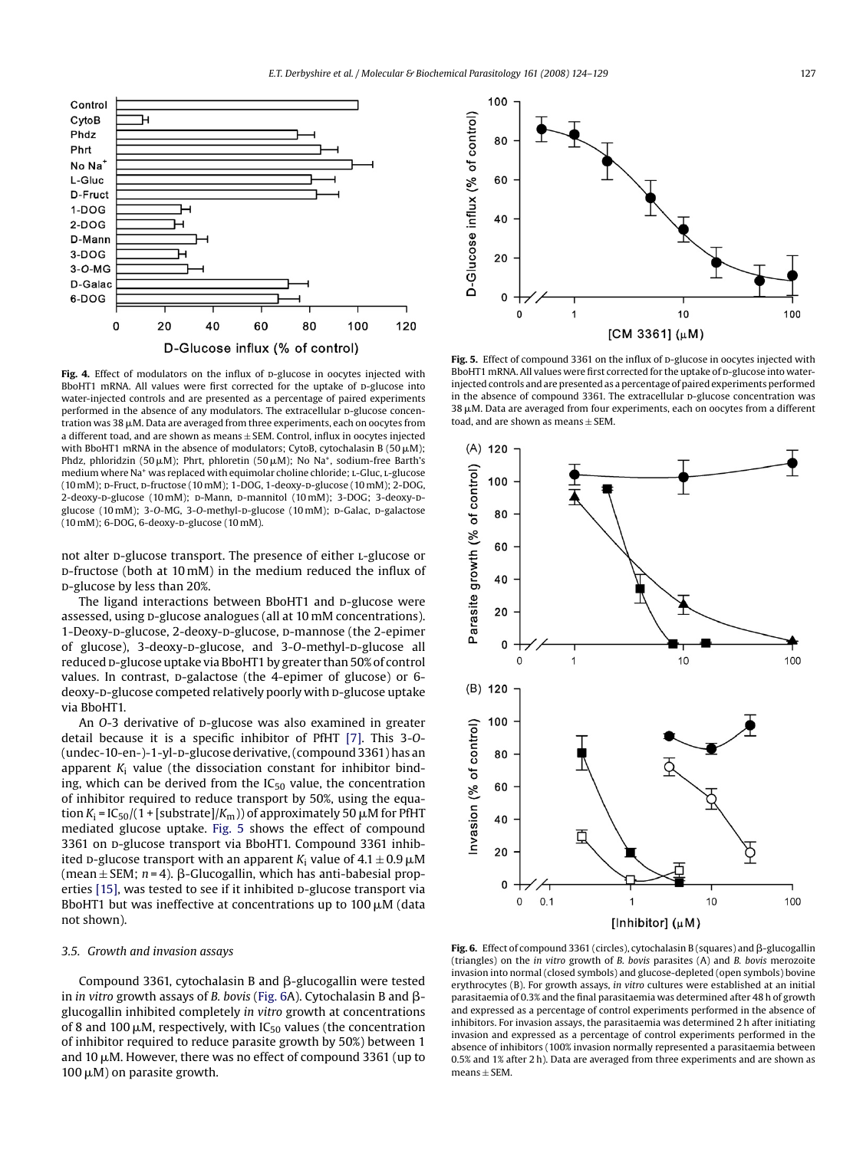<span id="page-3-0"></span>

Fig. 4. Effect of modulators on the influx of p-glucose in oocytes injected with BboHT1 mRNA. All values were first corrected for the uptake of p-glucose into water-injected controls and are presented as a percentage of paired experiments performed in the absence of any modulators. The extracellular D-glucose concentration was 38  $\mu$ M. Data are averaged from three experiments, each on oocytes from a different toad, and are shown as means  $\pm$  SEM. Control, influx in oocytes injected with BboHT1 mRNA in the absence of modulators; CytoB, cytochalasin B (50  $\mu$ M); Phdz, phloridzin (50  $\mu$ M); Phrt, phloretin (50  $\mu$ M); No Na<sup>+</sup>, sodium-free Barth's medium where Na<sup>+</sup> was replaced with equimolar choline chloride; L-Gluc, L-glucose (10 mM); D-Fruct, D-fructose (10 mM); 1-DOG, 1-deoxy-D-glucose (10 mM); 2-DOG, 2-deoxy-D-glucose (10 mM); D-Mann, D-mannitol (10 mM); 3-DOG; 3-deoxy-Dglucose (10 mM); 3-O-MG, 3-O-methyl-D-glucose (10 mM); D-Galac, D-galactose (10 mM); 6-DOG, 6-deoxy-D-glucose (10 mM).

not alter p-glucose transport. The presence of either L-glucose or d-fructose (both at 10 mM) in the medium reduced the influx of d-glucose by less than 20%.

The ligand interactions between BboHT1 and p-glucose were assessed, using p-glucose analogues (all at 10 mM concentrations). 1-Deoxy-p-glucose, 2-deoxy-p-glucose, p-mannose (the 2-epimer of glucose), 3-deoxy-p-glucose, and 3-O-methyl-p-glucose all reduced p-glucose uptake via BboHT1 by greater than 50% of control values. In contrast, p-galactose (the 4-epimer of glucose) or 6deoxy-D-glucose competed relatively poorly with D-glucose uptake via BboHT1.

An *O*-3 derivative of *D*-glucose was also examined in greater detail because it is a specific inhibitor of PfHT [\[7\].](#page-5-0) This 3-*O*- (undec-10-en-)-1-yl-p-glucose derivative, (compound 3361) has an apparent  $K_i$  value (the dissociation constant for inhibitor binding, which can be derived from the  $IC_{50}$  value, the concentration of inhibitor required to reduce transport by 50%, using the equation  $K_{\rm i}$  = IC<sub>50</sub> /( 1 + [substrate]/ $K_{\rm m}$  )) of approximately 50  $\mu$ M for PfHT mediated glucose uptake. Fig. 5 shows the effect of compound 3361 on p-glucose transport via BboHT1. Compound 3361 inhibited p-glucose transport with an apparent  $K_i$  value of  $4.1 \pm 0.9 \,\mathrm{\mu M}$ (mean  $\pm$  SEM;  $n = 4$ ).  $\beta$ -Glucogallin, which has anti-babesial prop-erties [\[15\], w](#page-5-0)as tested to see if it inhibited D-glucose transport via BboHT1 but was ineffective at concentrations up to 100  $\mu$ M (data not shown).

#### *3.5. Growth and invasion assays*

Compound 3361, cytochalasin B and  $\beta$ -glucogallin were tested in *in vitro* growth assays of *B. bovis* (Fig. 6A). Cytochalasin B and  $\beta$ glucogallin inhibited completely *in vitro* growth at concentrations of 8 and 100  $\mu$ M, respectively, with IC<sub>50</sub> values (the concentration of inhibitor required to reduce parasite growth by 50%) between 1 and 10  $\upmu$ M. However, there was no effect of compound 3361 (up to  $100 \mu$ M) on parasite growth.



Fig. 5. Effect of compound 3361 on the influx of D-glucose in oocytes injected with BboHT1 mRNA. All values were first corrected for the uptake of p-glucose into waterinjected controls and are presented as a percentage of paired experiments performed in the absence of compound  $3361$ . The extracellular p-glucose concentration was  $38 \,\rm \mu M$ . Data are averaged from four experiments, each on oocytes from a different toad, and are shown as means ± SEM.



Fig. 6. Effect of compound 3361 (circles), cytochalasin B (squares) and  $\beta$ -glucogallin (triangles) on the *in vitro* growth of *B. bovis* parasites (A) and *B. bovis* merozoite invasion into normal (closed symbols) and glucose-depleted (open symbols) bovine erythrocytes (B). For growth assays, *in vitro* cultures were established at an initial parasitaemia of 0.3% and the final parasitaemia was determined after 48 h of growth and expressed as a percentage of control experiments performed in the absence of inhibitors. For invasion assays, the parasitaemia was determined 2 h after initiating invasion and expressed as a percentage of control experiments performed in the absence of inhibitors (100% invasion normally represented a parasitaemia between 0.5% and 1% after 2 h). Data are averaged from three experiments and are shown as  $means \pm SEM$ .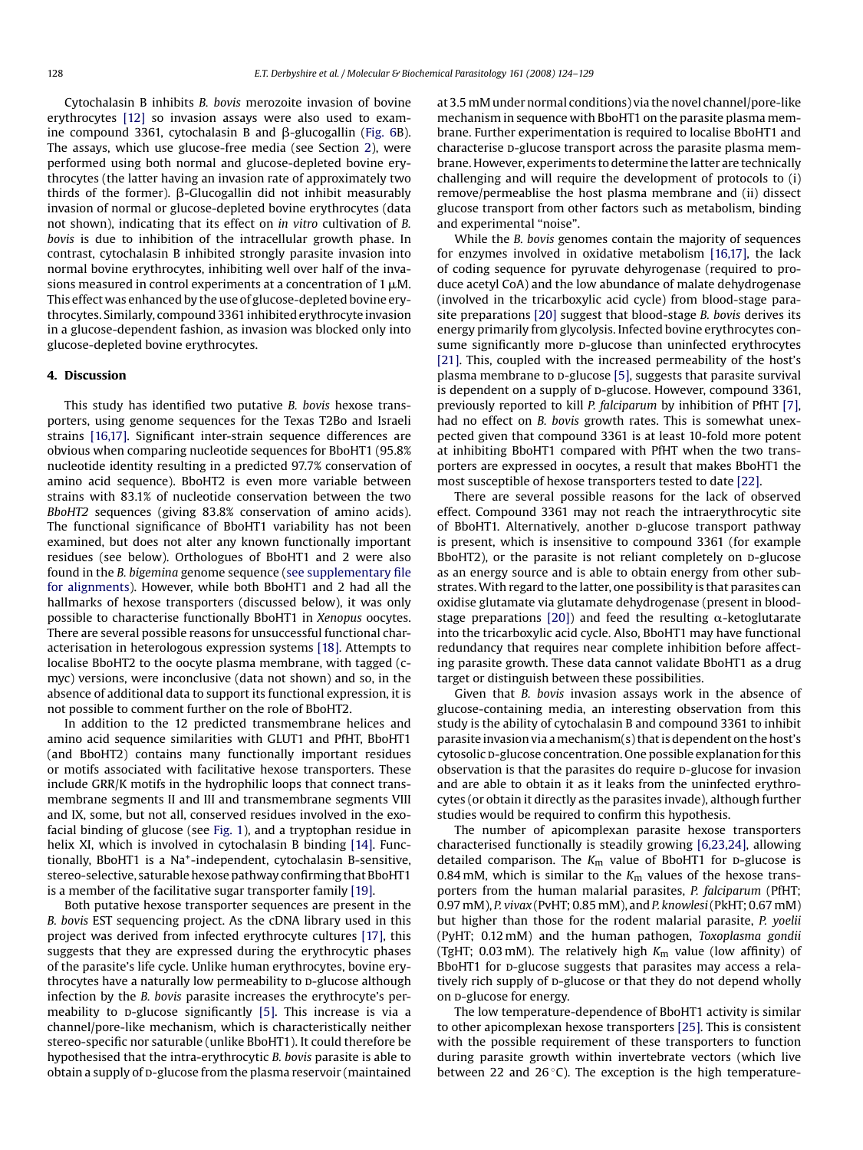<span id="page-4-0"></span>Cytochalasin B inhibits *B. bovis* merozoite invasion of bovine erythrocytes [\[12\]](#page-5-0) so invasion assays were also used to examine compound 3361, cytochalasin B and  $\beta$ -glucogallin [\(Fig. 6B](#page-3-0)). The assays, which use glucose-free media (see Section [2\),](#page-1-0) were performed using both normal and glucose-depleted bovine erythrocytes (the latter having an invasion rate of approximately two thirds of the former).  $\beta$ -Glucogallin did not inhibit measurably invasion of normal or glucose-depleted bovine erythrocytes (data not shown), indicating that its effect on *in vitro* cultivation of *B. bovis* is due to inhibition of the intracellular growth phase. In contrast, cytochalasin B inhibited strongly parasite invasion into normal bovine erythrocytes, inhibiting well over half of the invasions measured in control experiments at a concentration of 1  $\mu$ M. This effect was enhanced by the use of glucose-depleted bovine erythrocytes. Similarly, compound 3361 inhibited erythrocyte invasion in a glucose-dependent fashion, as invasion was blocked only into glucose-depleted bovine erythrocytes.

#### **4. Discussion**

This study has identified two putative *B. bovis* hexose transporters, using genome sequences for the Texas T2Bo and Israeli strains [\[16,17\].](#page-5-0) Significant inter-strain sequence differences are obvious when comparing nucleotide sequences for BboHT1 (95.8% nucleotide identity resulting in a predicted 97.7% conservation of amino acid sequence). BboHT2 is even more variable between strains with 83.1% of nucleotide conservation between the two *BboHT2* sequences (giving 83.8% conservation of amino acids). The functional significance of BboHT1 variability has not been examined, but does not alter any known functionally important residues (see below). Orthologues of BboHT1 and 2 were also found in the *B. bigemina* genome sequence (see supplementary file for alignments). However, while both BboHT1 and 2 had all the hallmarks of hexose transporters (discussed below), it was only possible to characterise functionally BboHT1 in *Xenopus* oocytes. There are several possible reasons for unsuccessful functional characterisation in heterologous expression systems [\[18\]. A](#page-5-0)ttempts to localise BboHT2 to the oocyte plasma membrane, with tagged (cmyc) versions, were inconclusive (data not shown) and so, in the absence of additional data to support its functional expression, it is not possible to comment further on the role of BboHT2.

In addition to the 12 predicted transmembrane helices and amino acid sequence similarities with GLUT1 and PfHT, BboHT1 (and BboHT2) contains many functionally important residues or motifs associated with facilitative hexose transporters. These include GRR/K motifs in the hydrophilic loops that connect transmembrane segments II and III and transmembrane segments VIII and IX, some, but not all, conserved residues involved in the exofacial binding of glucose (see [Fig. 1\),](#page-2-0) and a tryptophan residue in helix XI, which is involved in cytochalasin B binding [\[14\].](#page-5-0) Functionally, BboHT1 is a Na+-independent, cytochalasin B-sensitive, stereo-selective, saturable hexose pathway confirming that BboHT1 is a member of the facilitative sugar transporter family [\[19\].](#page-5-0)

Both putative hexose transporter sequences are present in the *B. bovis* EST sequencing project. As the cDNA library used in this project was derived from infected erythrocyte cultures [\[17\],](#page-5-0) this suggests that they are expressed during the erythrocytic phases of the parasite's life cycle. Unlike human erythrocytes, bovine erythrocytes have a naturally low permeability to p-glucose although infection by the *B. bovis* parasite increases the erythrocyte's per-meability to p-glucose significantly [\[5\].](#page-5-0) This increase is via a channel/pore-like mechanism, which is characteristically neither stereo-specific nor saturable (unlike BboHT1). It could therefore be hypothesised that the intra-erythrocytic *B. bovis* parasite is able to obtain a supply of p-glucose from the plasma reservoir (maintained

at 3.5 mM under normal conditions) via the novel channel/pore-like mechanism in sequence with BboHT1 on the parasite plasma membrane. Further experimentation is required to localise BboHT1 and characterise D-glucose transport across the parasite plasma membrane. However, experiments to determine the latter are technically challenging and will require the development of protocols to (i) remove/permeablise the host plasma membrane and (ii) dissect glucose transport from other factors such as metabolism, binding and experimental "noise".

While the *B. bovis* genomes contain the majority of sequences for enzymes involved in oxidative metabolism [\[16,17\],](#page-5-0) the lack of coding sequence for pyruvate dehyrogenase (required to produce acetyl CoA) and the low abundance of malate dehydrogenase (involved in the tricarboxylic acid cycle) from blood-stage parasite preparations [\[20\]](#page-5-0) suggest that blood-stage *B. bovis* derives its energy primarily from glycolysis. Infected bovine erythrocytes consume significantly more p-glucose than uninfected erythrocytes [\[21\]. T](#page-5-0)his, coupled with the increased permeability of the host's plasma membrane to p-glucose [\[5\], s](#page-5-0)uggests that parasite survival is dependent on a supply of p-glucose. However, compound 3361, previously reported to kill *P. falciparum* by inhibition of PfHT [\[7\],](#page-5-0) had no effect on *B. bovis* growth rates. This is somewhat unexpected given that compound 3361 is at least 10-fold more potent at inhibiting BboHT1 compared with PfHT when the two transporters are expressed in oocytes, a result that makes BboHT1 the most susceptible of hexose transporters tested to date [\[22\].](#page-5-0)

There are several possible reasons for the lack of observed effect. Compound 3361 may not reach the intraerythrocytic site of BboHT1. Alternatively, another p-glucose transport pathway is present, which is insensitive to compound 3361 (for example BboHT2), or the parasite is not reliant completely on p-glucose as an energy source and is able to obtain energy from other substrates.With regard to the latter, one possibility is that parasites can oxidise glutamate via glutamate dehydrogenase (present in blood-stage preparations [\[20\]\)](#page-5-0) and feed the resulting  $\alpha$ -ketoglutarate into the tricarboxylic acid cycle. Also, BboHT1 may have functional redundancy that requires near complete inhibition before affecting parasite growth. These data cannot validate BboHT1 as a drug target or distinguish between these possibilities.

Given that *B. bovis* invasion assays work in the absence of glucose-containing media, an interesting observation from this study is the ability of cytochalasin B and compound 3361 to inhibit parasite invasion via amechanism(s) that is dependent on the host's cytosolic p-glucose concentration. One possible explanation for this observation is that the parasites do require D-glucose for invasion and are able to obtain it as it leaks from the uninfected erythrocytes (or obtain it directly as the parasites invade), although further studies would be required to confirm this hypothesis.

The number of apicomplexan parasite hexose transporters characterised functionally is steadily growing [\[6,23,24\], a](#page-5-0)llowing detailed comparison. The  $K_m$  value of BboHT1 for  $p$ -glucose is 0.84 mM, which is similar to the  $K<sub>m</sub>$  values of the hexose transporters from the human malarial parasites, *P. falciparum* (PfHT; 0.97 mM), *P. vivax* (PvHT; 0.85 mM), and*P. knowlesi*(PkHT; 0.67 mM) but higher than those for the rodent malarial parasite, *P. yoelii* (PyHT; 0.12 mM) and the human pathogen, *Toxoplasma gondii* (TgHT; 0.03 mM). The relatively high  $K_m$  value (low affinity) of BboHT1 for p-glucose suggests that parasites may access a relatively rich supply of p-glucose or that they do not depend wholly on p-glucose for energy.

The low temperature-dependence of BboHT1 activity is similar to other apicomplexan hexose transporters [\[25\]. T](#page-5-0)his is consistent with the possible requirement of these transporters to function during parasite growth within invertebrate vectors (which live between 22 and  $26^{\circ}$ C). The exception is the high temperature